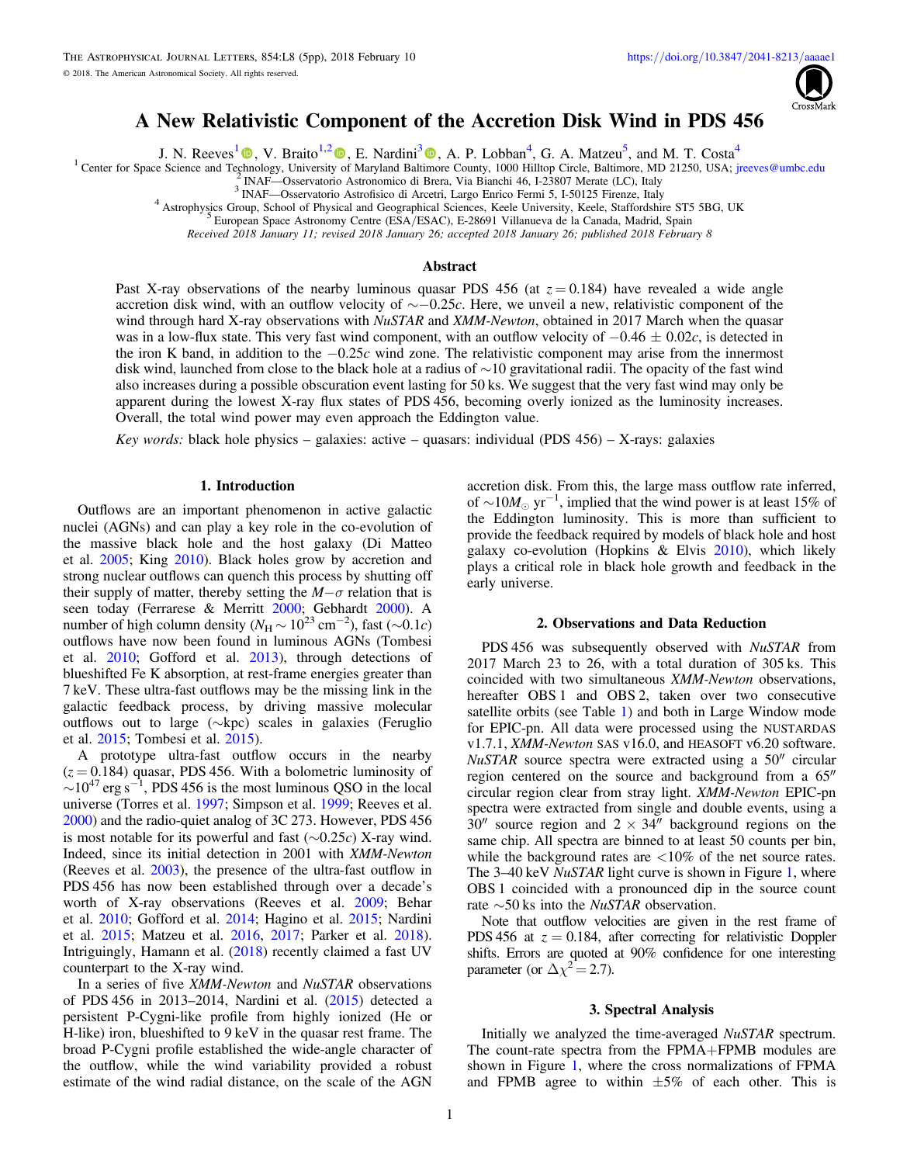

## A New Relativistic Component of the Accretion Disk Wind in PDS 456

J. N. Reeves<sup>[1](https://orcid.org/0000-0003-3221-6765)</sup>  $\bigcirc$ , V. Braito<sup>1,[2](https://orcid.org/0000-0002-2629-4989)</sup>  $\bigcirc$ , E. Nardini<sup>[3](https://orcid.org/0000-0001-9226-8992)</sup>  $\bigcirc$ [,](https://orcid.org/0000-0001-9226-8992) A. P. Lobban<sup>4</sup>, G. A. Matzeu<sup>5</sup>, and M. T. Costa<sup>4</sup>

<sup>1</sup> Center for Space Science and Te[chn](https://orcid.org/0000-0003-3221-6765)olog[y](https://orcid.org/0000-0002-2629-4989), University [o](https://orcid.org/0000-0002-2629-4989)f Maryland Balt[imo](https://orcid.org/0000-0001-9226-8992)re County, 1000 Hilltop Circle, Baltimore, MD 21250, USA; [jreeves@umbc.edu](mailto:jreeves@umbc.edu)  $^{2}$  INAF—Osservatorio Astronomico di Brera, Via Bianchi 46, I-23807 M

Received 2018 January 11; revised 2018 January 26; accepted 2018 January 26; published 2018 February 8

# Abstract

Past X-ray observations of the nearby luminous quasar PDS 456 (at  $z = 0.184$ ) have revealed a wide angle accretion disk wind, with an outflow velocity of ∼−0.25c. Here, we unveil a new, relativistic component of the wind through hard X-ray observations with *NuSTAR* and *XMM-Newton*, obtained in 2017 March when the quasar was in a low-flux state. This very fast wind component, with an outflow velocity of  $-0.46 \pm 0.02c$ , is detected in the iron K band, in addition to the  $-0.25c$  wind zone. The relativistic component may arise from the innermost disk wind, launched from close to the black hole at a radius of ∼10 gravitational radii. The opacity of the fast wind also increases during a possible obscuration event lasting for 50 ks. We suggest that the very fast wind may only be apparent during the lowest X-ray flux states of PDS 456, becoming overly ionized as the luminosity increases. Overall, the total wind power may even approach the Eddington value.

Key words: black hole physics – galaxies: active – quasars: individual (PDS 456) – X-rays: galaxies

#### 1. Introduction

Outflows are an important phenomenon in active galactic nuclei (AGNs) and can play a key role in the co-evolution of the massive black hole and the host galaxy (Di Matteo et al. [2005;](#page-4-0) King [2010](#page-4-0)). Black holes grow by accretion and strong nuclear outflows can quench this process by shutting off their supply of matter, thereby setting the  $M-\sigma$  relation that is seen today (Ferrarese & Merritt [2000](#page-4-0); Gebhardt [2000](#page-4-0)). A number of high column density ( $N_H \sim 10^{23}$  cm<sup>-2</sup>), fast ( $\sim 0.1c$ ) outflows have now been found in luminous AGNs (Tombesi et al. [2010;](#page-4-0) Gofford et al. [2013](#page-4-0)), through detections of blueshifted Fe K absorption, at rest-frame energies greater than 7 keV. These ultra-fast outflows may be the missing link in the galactic feedback process, by driving massive molecular outflows out to large (∼kpc) scales in galaxies (Feruglio et al. [2015](#page-4-0); Tombesi et al. [2015](#page-4-0)).

A prototype ultra-fast outflow occurs in the nearby  $(z = 0.184)$  quasar, PDS 456. With a bolometric luminosity of  $\sim$ 10<sup>47</sup> erg s<sup>-1</sup>, PDS 456 is the most luminous QSO in the local universe (Torres et al. [1997;](#page-4-0) Simpson et al. [1999;](#page-4-0) Reeves et al. [2000](#page-4-0)) and the radio-quiet analog of 3C 273. However, PDS 456 is most notable for its powerful and fast ( $\sim$ 0.25c) X-ray wind. Indeed, since its initial detection in 2001 with XMM-Newton (Reeves et al. [2003](#page-4-0)), the presence of the ultra-fast outflow in PDS 456 has now been established through over a decade's worth of X-ray observations (Reeves et al. [2009](#page-4-0); Behar et al. [2010](#page-4-0); Gofford et al. [2014;](#page-4-0) Hagino et al. [2015](#page-4-0); Nardini et al. [2015](#page-4-0); Matzeu et al. [2016](#page-4-0), [2017](#page-4-0); Parker et al. [2018](#page-4-0)). Intriguingly, Hamann et al. ([2018](#page-4-0)) recently claimed a fast UV counterpart to the X-ray wind.

In a series of five XMM-Newton and NuSTAR observations of PDS 456 in 2013–2014, Nardini et al. ([2015](#page-4-0)) detected a persistent P-Cygni-like profile from highly ionized (He or H-like) iron, blueshifted to 9 keV in the quasar rest frame. The broad P-Cygni profile established the wide-angle character of the outflow, while the wind variability provided a robust estimate of the wind radial distance, on the scale of the AGN

accretion disk. From this, the large mass outflow rate inferred, of  $\sim 10 M_{\odot}$  yr<sup>-1</sup>, implied that the wind power is at least 15% of the Eddington luminosity. This is more than sufficient to provide the feedback required by models of black hole and host galaxy co-evolution (Hopkins & Elvis [2010](#page-4-0)), which likely plays a critical role in black hole growth and feedback in the early universe.

#### 2. Observations and Data Reduction

PDS 456 was subsequently observed with NuSTAR from 2017 March 23 to 26, with a total duration of 305 ks. This coincided with two simultaneous XMM-Newton observations, hereafter OBS 1 and OBS 2, taken over two consecutive satellite orbits (see Table [1](#page-1-0)) and both in Large Window mode for EPIC-pn. All data were processed using the NUSTARDAS v1.7.1, XMM-Newton SAS v16.0, and HEASOFT v6.20 software. NuSTAR source spectra were extracted using a 50″ circular region centered on the source and background from a 65″ circular region clear from stray light. XMM-Newton EPIC-pn spectra were extracted from single and double events, using a  $30''$  source region and  $2 \times 34''$  background regions on the same chip. All spectra are binned to at least 50 counts per bin, while the background rates are  $\langle 10\%$  of the net source rates. The 3–40 keV *NuSTAR* light curve is shown in Figure [1,](#page-1-0) where OBS 1 coincided with a pronounced dip in the source count rate ∼50 ks into the NuSTAR observation.

Note that outflow velocities are given in the rest frame of PDS 456 at  $z = 0.184$ , after correcting for relativistic Doppler shifts. Errors are quoted at 90% confidence for one interesting parameter (or  $\Delta \chi^2 = 2.7$ ).

## 3. Spectral Analysis

Initially we analyzed the time-averaged NuSTAR spectrum. The count-rate spectra from the FPMA+FPMB modules are shown in Figure [1,](#page-1-0) where the cross normalizations of FPMA and FPMB agree to within  $\pm 5\%$  of each other. This is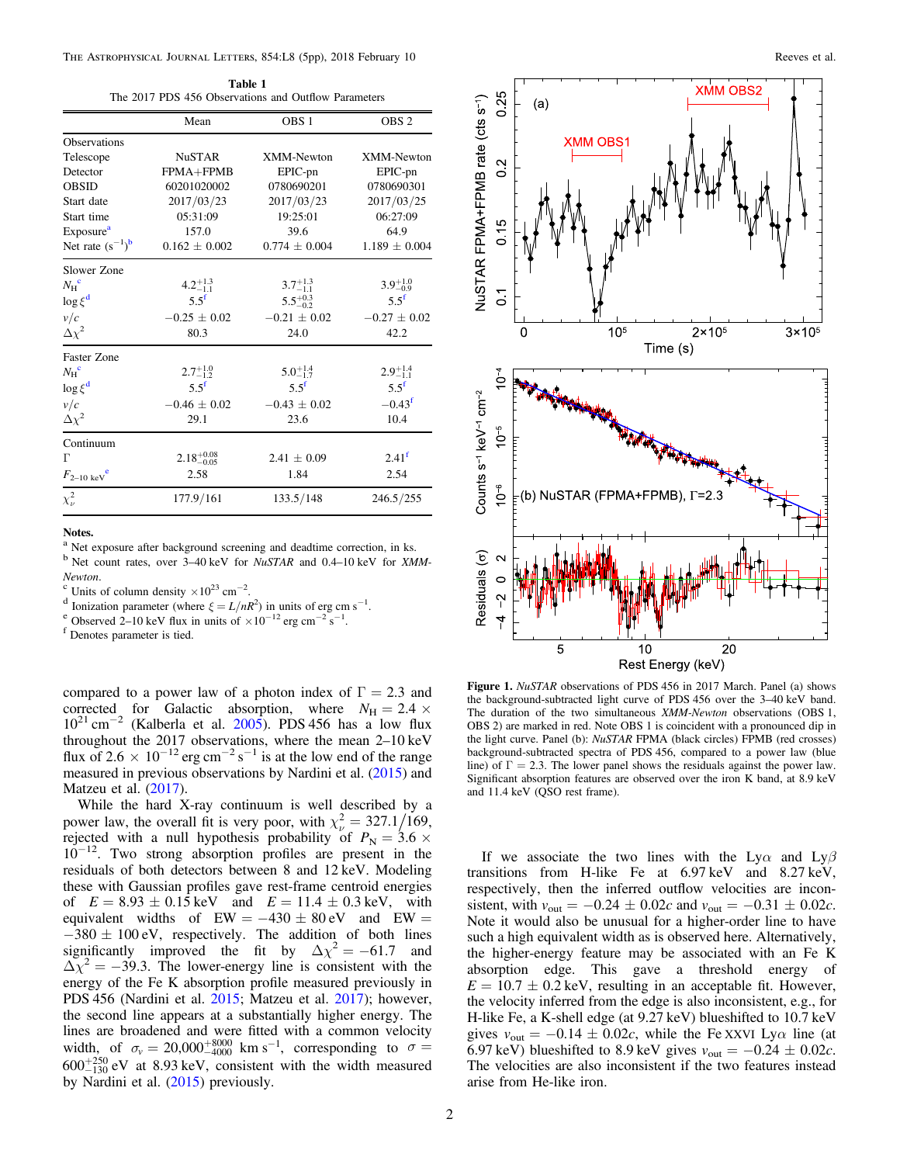<span id="page-1-0"></span>The Astrophysical Journal Letters, 854:L8 (5pp), 2018 February 10 Reeves et al.

Table 1 The 2017 PDS 456 Observations and Outflow Parameters

|                                      | Mean                   | OBS <sub>1</sub>    | OBS <sub>2</sub>    |
|--------------------------------------|------------------------|---------------------|---------------------|
| <b>Observations</b>                  |                        |                     |                     |
| Telescope                            | <b>NuSTAR</b>          | XMM-Newton          | <b>XMM-Newton</b>   |
| Detector                             | FPMA+FPMB              | EPIC-pn             | EPIC-pn             |
| <b>OBSID</b>                         | 60201020002            | 0780690201          | 0780690301          |
| Start date                           | 2017/03/23             | 2017/03/23          | 2017/03/25          |
| Start time                           | 05:31:09               | 19:25:01            | 06:27:09            |
| Exposure <sup>a</sup>                | 157.0                  | 39.6                | 64.9                |
| Net rate $(s^{-1})^b$                | $0.162 \pm 0.002$      | $0.774 \pm 0.004$   | $1.189 \pm 0.004$   |
| Slower Zone                          |                        |                     |                     |
| $N_{\rm H}$ <sup>c</sup>             | $4.2^{+1.3}_{-1.1}$    | $3.7^{+1.3}_{-1.1}$ | $3.9^{+1.0}_{-0.9}$ |
| $\log \xi^d$                         | $5.5^{\rm f}$          | $5.5^{+0.3}_{-0.2}$ | $5.5^{\rm f}$       |
| v/c                                  | $-0.25 \pm 0.02$       | $-0.21 \pm 0.02$    | $-0.27 \pm 0.02$    |
| $\Delta\chi^2$                       | 80.3                   | 24.0                | 42.2                |
| Faster Zone                          |                        |                     |                     |
| $N_{\rm H}$ <sup>c</sup>             | $2.7^{+1.0}_{-1.2}$    | $5.0^{+1.4}_{-1.7}$ | $2.9^{+1.4}_{-1.1}$ |
| $\log \xi^d$                         | $5.5^{\rm f}$          | $5.5^f$             | $5.5^{\mathrm{f}}$  |
| v/c                                  | $-0.46 \pm 0.02$       | $-0.43 \pm 0.02$    | $-0.43^f$           |
| $\Delta \chi^2$                      | 29.1                   | 23.6                | 10.4                |
| Continuum                            |                        |                     |                     |
| г                                    | $2.18_{-0.05}^{+0.08}$ | $2.41 \pm 0.09$     | 2.41 <sup>f</sup>   |
| $F_{2-10~\mathrm{keV}}^{\mathrm{e}}$ | 2.58                   | 1.84                | 2.54                |
| $\chi^2_{\nu}$                       | 177.9/161              | 133.5/148           | 246.5/255           |

#### Notes.

<sup>a</sup> Net exposure after background screening and deadtime correction, in ks.  $b$  Net count rates, over 3–40 keV for *NuSTAR* and 0.4–10 keV for *XMM*-

Newton.<br><sup>c</sup> Units of column density ×10<sup>23</sup> cm<sup>-2</sup>.

<sup>c</sup> Units of column density ×10<sup>23</sup> cm<sup>-2</sup>.<br>
<sup>d</sup> Ionization parameter (where  $\xi = L/nR^2$ ) in units of erg cm s<sup>-1</sup>.<br>
<sup>e</sup> Observed 2–10 keV flux in units of ×10<sup>-12</sup> erg cm<sup>-2</sup> s<sup>-1</sup>.<br>
<sup>f</sup> Denotes parameter is tied.

compared to a power law of a photon index of  $\Gamma = 2.3$  and corrected for Galactic absorption, where  $N_{\text{H}} = 2.4 \times$  $10^{21}$  cm<sup>-2</sup> (Kalberla et al. [2005](#page-4-0)). PDS 456 has a low flux throughout the 2017 observations, where the mean 2–10 keV flux of 2.6  $\times$  10<sup>-12</sup> erg cm<sup>-2</sup> s<sup>-1</sup> is at the low end of the range measured in previous observations by Nardini et al. ([2015](#page-4-0)) and Matzeu et al. ([2017](#page-4-0)).

While the hard X-ray continuum is well described by a power law, the overall fit is very poor, with  $\chi^2_{\nu} = 327.1 / 169$ , rejected with a null hypothesis probability of  $P_N = 3.6 \times$ 10<sup>−</sup>12. Two strong absorption profiles are present in the residuals of both detectors between 8 and 12 keV. Modeling these with Gaussian profiles gave rest-frame centroid energies of  $E = 8.93 \pm 0.15 \,\text{keV}$  and  $E = 11.4 \pm 0.3 \,\text{keV}$ , with equivalent widths of  $EW = -430 \pm 80$  eV and  $EW =$  $-380 \pm 100$  eV, respectively. The addition of both lines significantly improved the fit by  $\Delta \chi^2 = -61.7$  and  $\Delta \chi^2 = -39.3$ . The lower-energy line is consistent with the energy of the Fe K absorption profile measured previously in PDS 456 (Nardini et al. [2015](#page-4-0); Matzeu et al. [2017](#page-4-0)); however, the second line appears at a substantially higher energy. The lines are broadened and were fitted with a common velocity width, of  $\sigma_v = 20,000^{+8000}_{-4000}$  km s<sup>-1</sup>, corresponding to  $\sigma =$  $600^{+250}_{-130}$  eV at 8.93 keV, consistent with the width measured by Nardini et al. ([2015](#page-4-0)) previously.



Figure 1. NuSTAR observations of PDS 456 in 2017 March. Panel (a) shows the background-subtracted light curve of PDS 456 over the 3–40 keV band. The duration of the two simultaneous XMM-Newton observations (OBS 1, OBS 2) are marked in red. Note OBS 1 is coincident with a pronounced dip in the light curve. Panel (b): NuSTAR FPMA (black circles) FPMB (red crosses) background-subtracted spectra of PDS 456, compared to a power law (blue line) of  $\Gamma = 2.3$ . The lower panel shows the residuals against the power law. Significant absorption features are observed over the iron K band, at 8.9 keV and 11.4 keV (QSO rest frame).

If we associate the two lines with the Ly $\alpha$  and Ly $\beta$ transitions from H-like Fe at 6.97 keV and 8.27 keV, respectively, then the inferred outflow velocities are inconsistent, with  $v_{\text{out}} = -0.24 \pm 0.02c$  and  $v_{\text{out}} = -0.31 \pm 0.02c$ . Note it would also be unusual for a higher-order line to have such a high equivalent width as is observed here. Alternatively, the higher-energy feature may be associated with an Fe K absorption edge. This gave a threshold energy of  $E = 10.7 \pm 0.2$  keV, resulting in an acceptable fit. However, the velocity inferred from the edge is also inconsistent, e.g., for H-like Fe, a K-shell edge (at 9.27 keV) blueshifted to 10.7 keV gives  $v_{\text{out}} = -0.14 \pm 0.02c$ , while the Fe XXVI Ly $\alpha$  line (at 6.97 keV) blueshifted to 8.9 keV gives  $v_{\text{out}} = -0.24 \pm 0.02c$ . The velocities are also inconsistent if the two features instead arise from He-like iron.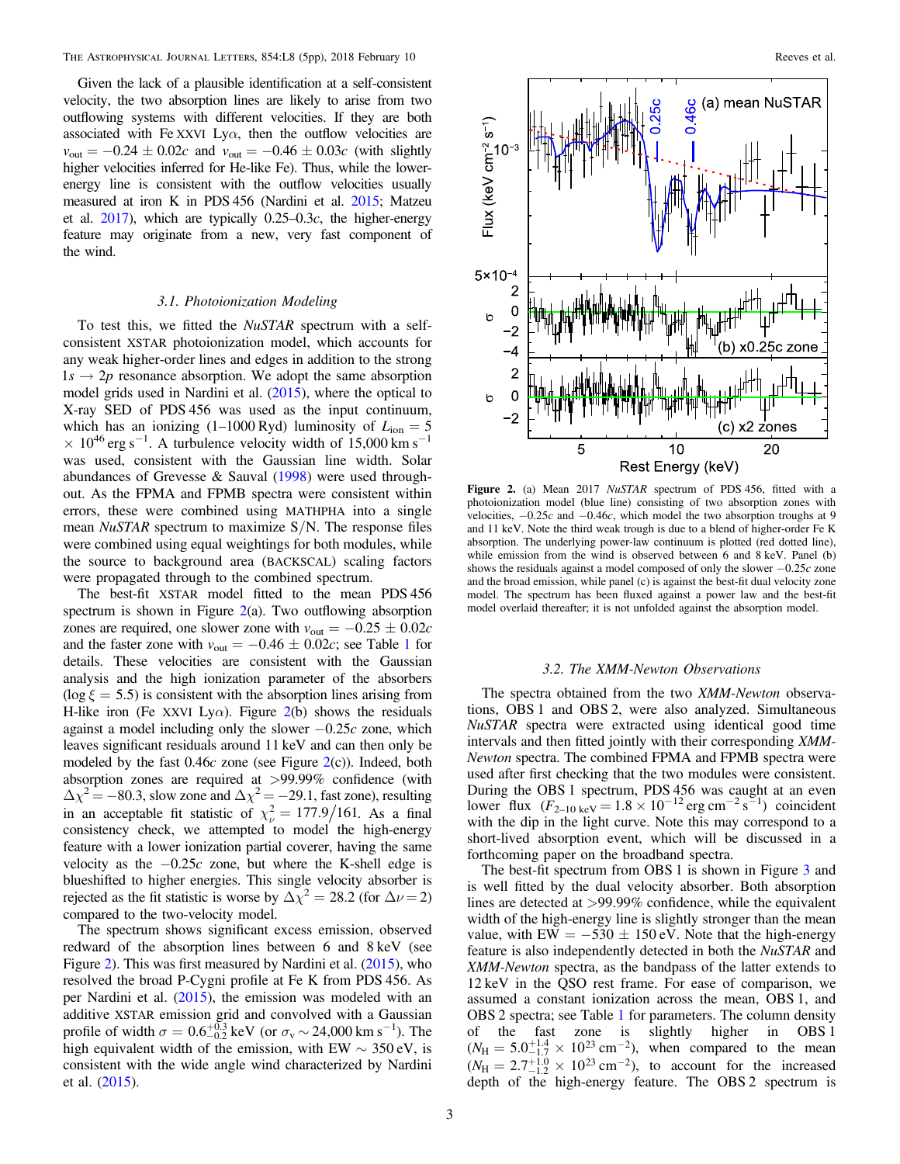Given the lack of a plausible identification at a self-consistent velocity, the two absorption lines are likely to arise from two outflowing systems with different velocities. If they are both associated with Fe XXVI Ly $\alpha$ , then the outflow velocities are  $v_{\text{out}} = -0.24 \pm 0.02c$  and  $v_{\text{out}} = -0.46 \pm 0.03c$  (with slightly higher velocities inferred for He-like Fe). Thus, while the lowerenergy line is consistent with the outflow velocities usually measured at iron K in PDS 456 (Nardini et al. [2015](#page-4-0); Matzeu et al.  $2017$ ), which are typically  $0.25-0.3c$ , the higher-energy feature may originate from a new, very fast component of the wind.

#### 3.1. Photoionization Modeling

To test this, we fitted the NuSTAR spectrum with a selfconsistent XSTAR photoionization model, which accounts for any weak higher-order lines and edges in addition to the strong  $1s \rightarrow 2p$  resonance absorption. We adopt the same absorption model grids used in Nardini et al. ([2015](#page-4-0)), where the optical to X-ray SED of PDS 456 was used as the input continuum, which has an ionizing  $(1-1000 \text{ Ryd})$  luminosity of  $L_{\text{ion}} = 5$  $\times$  10<sup>46</sup> erg s<sup>-1</sup>. A turbulence velocity width of 15,000 km s<sup>-1</sup> was used, consistent with the Gaussian line width. Solar abundances of Grevesse & Sauval ([1998](#page-4-0)) were used throughout. As the FPMA and FPMB spectra were consistent within errors, these were combined using MATHPHA into a single mean NuSTAR spectrum to maximize S/N. The response files were combined using equal weightings for both modules, while the source to background area (BACKSCAL) scaling factors were propagated through to the combined spectrum.

The best-fit XSTAR model fitted to the mean PDS 456 spectrum is shown in Figure  $2(a)$ . Two outflowing absorption zones are required, one slower zone with  $v_{\text{out}} = -0.25 \pm 0.02c$ and the faster zone with  $v_{\text{out}} = -0.46 \pm 0.02c$ ; see Table [1](#page-1-0) for details. These velocities are consistent with the Gaussian analysis and the high ionization parameter of the absorbers  $(\log \xi = 5.5)$  is consistent with the absorption lines arising from H-like iron (Fe XXVI Ly $\alpha$ ). Figure 2(b) shows the residuals against a model including only the slower  $-0.25c$  zone, which leaves significant residuals around 11 keV and can then only be modeled by the fast  $0.46c$  zone (see Figure  $2(c)$ ). Indeed, both absorption zones are required at >99.99% confidence (with  $\Delta \chi^2 = -80.3$ , slow zone and  $\Delta \chi^2 = -29.1$ , fast zone), resulting in an acceptable fit statistic of  $\chi^2_{\nu} = 177.9/161$ . As a final consistency check, we attempted to model the high-energy feature with a lower ionization partial coverer, having the same velocity as the  $-0.25c$  zone, but where the K-shell edge is blueshifted to higher energies. This single velocity absorber is rejected as the fit statistic is worse by  $\Delta \chi^2 = 28.2$  (for  $\Delta \nu = 2$ ) compared to the two-velocity model.

The spectrum shows significant excess emission, observed redward of the absorption lines between 6 and 8 keV (see Figure 2). This was first measured by Nardini et al. ([2015](#page-4-0)), who resolved the broad P-Cygni profile at Fe K from PDS 456. As per Nardini et al. ([2015](#page-4-0)), the emission was modeled with an additive XSTAR emission grid and convolved with a Gaussian profile of width  $\sigma = 0.6^{+0.3}_{-0.2}$  keV (or  $\sigma_v \sim 24{,}000$  km s<sup>-1</sup>). The high equivalent width of the emission, with EW  $\sim$  350 eV, is consistent with the wide angle wind characterized by Nardini et al. ([2015](#page-4-0)).



Figure 2. (a) Mean 2017 NuSTAR spectrum of PDS 456, fitted with a photoionization model (blue line) consisting of two absorption zones with velocities,  $-0.25c$  and  $-0.46c$ , which model the two absorption troughs at 9 and 11 keV. Note the third weak trough is due to a blend of higher-order Fe K absorption. The underlying power-law continuum is plotted (red dotted line), while emission from the wind is observed between 6 and 8 keV. Panel (b) shows the residuals against a model composed of only the slower  $-0.25c$  zone and the broad emission, while panel (c) is against the best-fit dual velocity zone model. The spectrum has been fluxed against a power law and the best-fit model overlaid thereafter; it is not unfolded against the absorption model.

## 3.2. The XMM-Newton Observations

The spectra obtained from the two XMM-Newton observations, OBS 1 and OBS 2, were also analyzed. Simultaneous NuSTAR spectra were extracted using identical good time intervals and then fitted jointly with their corresponding XMM-Newton spectra. The combined FPMA and FPMB spectra were used after first checking that the two modules were consistent. During the OBS 1 spectrum, PDS 456 was caught at an even lower flux  $(F_{2-10 \text{ keV}} = 1.8 \times 10^{-12} \text{ erg cm}^{-2} \text{ s}^{-1})$  coincident with the dip in the light curve. Note this may correspond to a short-lived absorption event, which will be discussed in a forthcoming paper on the broadband spectra.

The best-fit spectrum from OBS 1 is shown in Figure [3](#page-3-0) and is well fitted by the dual velocity absorber. Both absorption lines are detected at >99.99% confidence, while the equivalent width of the high-energy line is slightly stronger than the mean value, with EW =  $-530 \pm 150$  eV. Note that the high-energy feature is also independently detected in both the NuSTAR and XMM-Newton spectra, as the bandpass of the latter extends to 12 keV in the QSO rest frame. For ease of comparison, we assumed a constant ionization across the mean, OBS 1, and OBS 2 spectra; see Table [1](#page-1-0) for parameters. The column density of the fast zone is slightly higher in OBS 1  $(N_{\rm H} = 5.0^{+1.4}_{-1.7} \times 10^{23} \text{ cm}^{-2})$ , when compared to the mean  $(N_{\rm H} = 2.7^{+1.0}_{-1.2} \times 10^{23} \text{ cm}^{-2})$ , to account for the increased depth of the high-energy feature. The OBS 2 spectrum is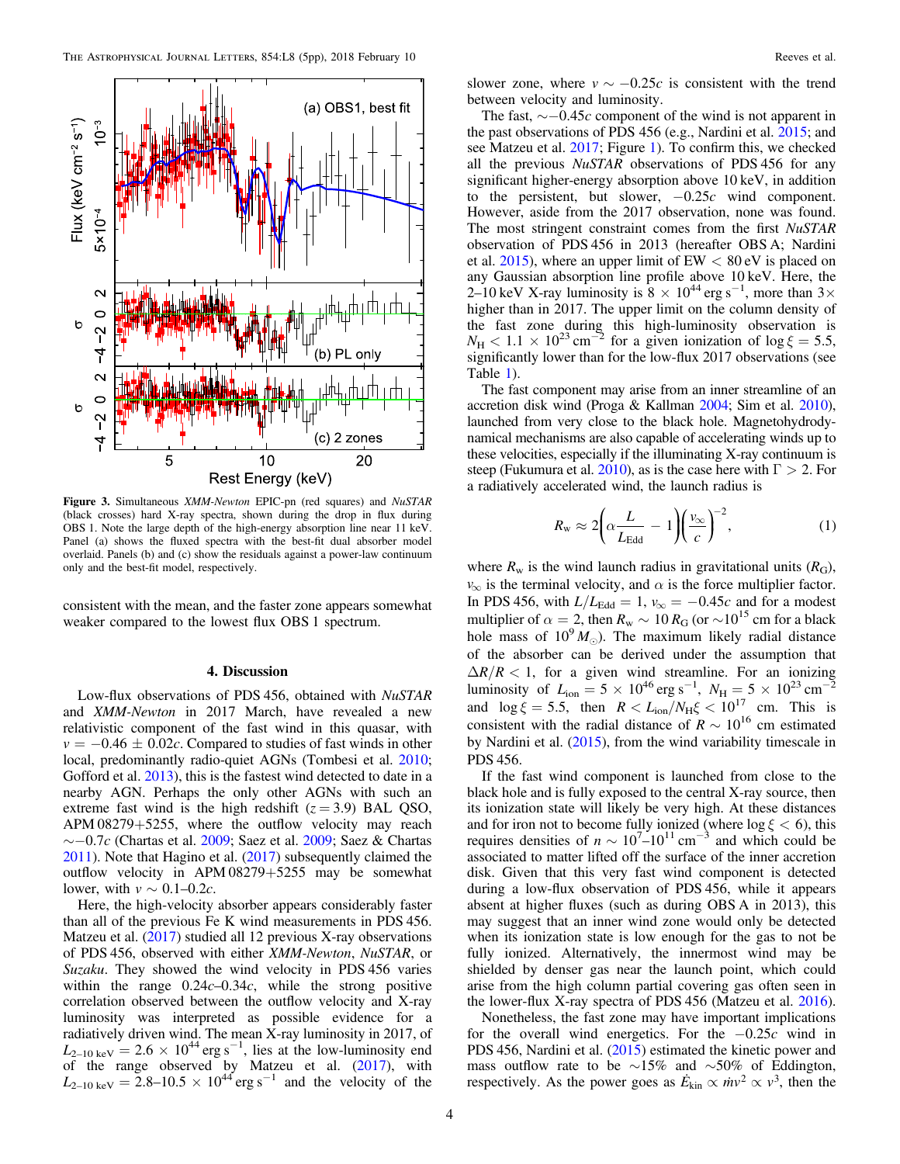<span id="page-3-0"></span>

Figure 3. Simultaneous XMM-Newton EPIC-pn (red squares) and NuSTAR (black crosses) hard X-ray spectra, shown during the drop in flux during OBS 1. Note the large depth of the high-energy absorption line near 11 keV. Panel (a) shows the fluxed spectra with the best-fit dual absorber model overlaid. Panels (b) and (c) show the residuals against a power-law continuum only and the best-fit model, respectively.

consistent with the mean, and the faster zone appears somewhat weaker compared to the lowest flux OBS 1 spectrum.

### 4. Discussion

Low-flux observations of PDS 456, obtained with NuSTAR and XMM-Newton in 2017 March, have revealed a new relativistic component of the fast wind in this quasar, with  $v = -0.46 \pm 0.02c$ . Compared to studies of fast winds in other local, predominantly radio-quiet AGNs (Tombesi et al. [2010](#page-4-0); Gofford et al. [2013](#page-4-0)), this is the fastest wind detected to date in a nearby AGN. Perhaps the only other AGNs with such an extreme fast wind is the high redshift  $(z = 3.9)$  BAL QSO, APM 08279+5255, where the outflow velocity may reach  $\sim$ −0.7c (Chartas et al. [2009;](#page-4-0) Saez et al. [2009](#page-4-0); Saez & Chartas [2011](#page-4-0)). Note that Hagino et al. ([2017](#page-4-0)) subsequently claimed the outflow velocity in APM 08279+5255 may be somewhat lower, with  $v \sim 0.1 - 0.2c$ .

Here, the high-velocity absorber appears considerably faster than all of the previous Fe K wind measurements in PDS 456. Matzeu et al. ([2017](#page-4-0)) studied all 12 previous X-ray observations of PDS 456, observed with either XMM-Newton, NuSTAR, or Suzaku. They showed the wind velocity in PDS 456 varies within the range  $0.24c-0.34c$ , while the strong positive correlation observed between the outflow velocity and X-ray luminosity was interpreted as possible evidence for a radiatively driven wind. The mean X-ray luminosity in 2017, of  $L_{2-10 \text{ keV}} = 2.6 \times 10^{44} \text{ erg s}^{-1}$ , lies at the low-luminosity end of the range observed by Matzeu et al. ([2017](#page-4-0)), with  $L_{2-10 \text{ keV}} = 2.8-10.5 \times 10^{44} \text{ erg s}^{-1}$  and the velocity of the

slower zone, where  $v \sim -0.25c$  is consistent with the trend between velocity and luminosity.

The fast,  $\sim$  −0.45c component of the wind is not apparent in the past observations of PDS 456 (e.g., Nardini et al. [2015](#page-4-0); and see Matzeu et al. [2017;](#page-4-0) Figure [1](#page-1-0)). To confirm this, we checked all the previous NuSTAR observations of PDS 456 for any significant higher-energy absorption above 10 keV, in addition to the persistent, but slower,  $-0.25c$  wind component. However, aside from the 2017 observation, none was found. The most stringent constraint comes from the first NuSTAR observation of PDS 456 in 2013 (hereafter OBS A; Nardini et al.  $2015$ ), where an upper limit of EW  $< 80 \text{ eV}$  is placed on any Gaussian absorption line profile above 10 keV. Here, the 2–10 keV X-ray luminosity is  $8 \times 10^{44}$  erg s<sup>-1</sup>, more than 3× higher than in 2017. The upper limit on the column density of the fast zone during this high-luminosity observation is  $N_H < 1.1 \times 10^{23}$  cm<sup>-2</sup> for a given ionization of  $\log \xi = 5.5$ , significantly lower than for the low-flux 2017 observations (see Table [1](#page-1-0)).

The fast component may arise from an inner streamline of an accretion disk wind (Proga & Kallman [2004;](#page-4-0) Sim et al. [2010](#page-4-0)), launched from very close to the black hole. Magnetohydrodynamical mechanisms are also capable of accelerating winds up to these velocities, especially if the illuminating X-ray continuum is steep (Fukumura et al. [2010](#page-4-0)), as is the case here with  $\Gamma > 2$ . For a radiatively accelerated wind, the launch radius is

$$
R_{\rm w} \approx 2 \bigg( \alpha \frac{L}{L_{\rm Edd}} - 1 \bigg) \bigg( \frac{v_{\infty}}{c} \bigg)^{-2},\tag{1}
$$

where  $R_w$  is the wind launch radius in gravitational units  $(R_G)$ ,  $v_{\infty}$  is the terminal velocity, and  $\alpha$  is the force multiplier factor. In PDS 456, with  $L/L_{\text{Edd}} = 1$ ,  $v_{\infty} = -0.45c$  and for a modest multiplier of  $\alpha = 2$ , then  $R_w \sim 10 R_G$  (or ~10<sup>15</sup> cm for a black hole mass of  $10^{9} M_{\odot}$ ). The maximum likely radial distance of the absorber can be derived under the assumption that  $\Delta R/R < 1$ , for a given wind streamline. For an ionizing luminosity of  $L_{\text{ion}} = 5 \times 10^{46} \text{ erg s}^{-1}$ ,  $N_{\text{H}} = 5 \times 10^{23} \text{ cm}^{-2}$ and  $\log \xi = 5.5$ , then  $R < L_{\text{ion}}/N_{\text{H}}\xi < 10^{17}$  cm. This is consistent with the radial distance of  $R \sim 10^{16}$  cm estimated by Nardini et al. ([2015](#page-4-0)), from the wind variability timescale in PDS 456.

If the fast wind component is launched from close to the black hole and is fully exposed to the central X-ray source, then its ionization state will likely be very high. At these distances and for iron not to become fully ionized (where  $\log \xi < 6$ ), this requires densities of  $n \sim 10^{7}$ – $10^{11}$  cm<sup>-3</sup> and which could be associated to matter lifted off the surface of the inner accretion disk. Given that this very fast wind component is detected during a low-flux observation of PDS 456, while it appears absent at higher fluxes (such as during OBS A in 2013), this may suggest that an inner wind zone would only be detected when its ionization state is low enough for the gas to not be fully ionized. Alternatively, the innermost wind may be shielded by denser gas near the launch point, which could arise from the high column partial covering gas often seen in the lower-flux X-ray spectra of PDS 456 (Matzeu et al. [2016](#page-4-0)).

Nonetheless, the fast zone may have important implications for the overall wind energetics. For the −0.25c wind in PDS 456, Nardini et al. ([2015](#page-4-0)) estimated the kinetic power and mass outflow rate to be ∼15% and ∼50% of Eddington, respectively. As the power goes as  $\dot{E}_{\text{kin}} \propto \dot{m}v^2 \propto v^3$ , then the